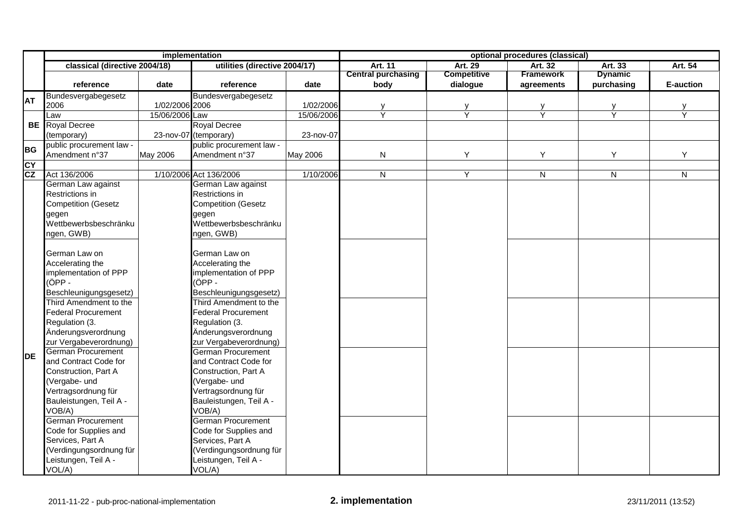|           | implementation                 |                |                                |            | optional procedures (classical) |                    |                  |                |              |  |
|-----------|--------------------------------|----------------|--------------------------------|------------|---------------------------------|--------------------|------------------|----------------|--------------|--|
|           | classical (directive 2004/18)  |                | utilities (directive 2004/17)  |            | <b>Art. 11</b>                  | <b>Art. 29</b>     | Art. 32          | Art. 33        | Art. 54      |  |
|           |                                |                |                                |            | <b>Central purchasing</b>       | <b>Competitive</b> | <b>Framework</b> | <b>Dynamic</b> |              |  |
|           | reference<br>date              |                | reference                      | date       | body                            | dialogue           | agreements       | purchasing     | E-auction    |  |
| <b>AT</b> | Bundesvergabegesetz            |                | Bundesvergabegesetz            |            |                                 |                    |                  |                |              |  |
|           | 2006                           | 1/02/2006 2006 |                                | 1/02/2006  | $\frac{y}{Y}$                   | $\frac{y}{Y}$      | y<br>Y           | y<br>Y         |              |  |
|           | Law                            | 15/06/2006 Law |                                | 15/06/2006 |                                 |                    |                  |                | Ÿ            |  |
| BE        | <b>Royal Decree</b>            |                | <b>Royal Decree</b>            |            |                                 |                    |                  |                |              |  |
|           | (temporary)                    |                | 23-nov-07 (temporary)          | 23-nov-07  |                                 |                    |                  |                |              |  |
| <b>BG</b> | public procurement law -       |                | public procurement law -       |            |                                 |                    |                  |                |              |  |
|           | Amendment n°37<br>May 2006     |                | Amendment n°37                 | May 2006   | ${\sf N}$                       | Υ                  | Y                | Y              | Y            |  |
| CY<br>CZ  |                                |                |                                |            |                                 |                    |                  |                |              |  |
|           | Act 136/2006                   |                | 1/10/2006 Act 136/2006         | 1/10/2006  | ${\sf N}$                       | $\overline{Y}$     | ${\sf N}$        | $\overline{N}$ | $\mathsf{N}$ |  |
|           | German Law against             |                | German Law against             |            |                                 |                    |                  |                |              |  |
|           | Restrictions in                |                | Restrictions in                |            |                                 |                    |                  |                |              |  |
|           | <b>Competition (Gesetz</b>     |                | <b>Competition (Gesetz</b>     |            |                                 |                    |                  |                |              |  |
|           | gegen<br>Wettbewerbsbeschränku |                | gegen<br>Wettbewerbsbeschränku |            |                                 |                    |                  |                |              |  |
|           |                                |                |                                |            |                                 |                    |                  |                |              |  |
|           | ngen, GWB)                     |                | ngen, GWB)                     |            |                                 |                    |                  |                |              |  |
|           | German Law on                  |                | German Law on                  |            |                                 |                    |                  |                |              |  |
|           | Accelerating the               |                | Accelerating the               |            |                                 |                    |                  |                |              |  |
|           | implementation of PPP          |                | implementation of PPP          |            |                                 |                    |                  |                |              |  |
|           | (ÖPP -                         |                | (ÖPP-                          |            |                                 |                    |                  |                |              |  |
|           | Beschleunigungsgesetz)         |                | Beschleunigungsgesetz)         |            |                                 |                    |                  |                |              |  |
|           | Third Amendment to the         |                | Third Amendment to the         |            |                                 |                    |                  |                |              |  |
|           | <b>Federal Procurement</b>     |                | <b>Federal Procurement</b>     |            |                                 |                    |                  |                |              |  |
|           | Regulation (3.                 |                | Regulation (3.                 |            |                                 |                    |                  |                |              |  |
|           | Änderungsverordnung            |                | Änderungsverordnung            |            |                                 |                    |                  |                |              |  |
|           | zur Vergabeverordnung)         |                | zur Vergabeverordnung)         |            |                                 |                    |                  |                |              |  |
|           | German Procurement             |                | <b>German Procurement</b>      |            |                                 |                    |                  |                |              |  |
| ldе       | and Contract Code for          |                | and Contract Code for          |            |                                 |                    |                  |                |              |  |
|           | Construction, Part A           |                | Construction, Part A           |            |                                 |                    |                  |                |              |  |
|           | (Vergabe- und                  |                | (Vergabe- und                  |            |                                 |                    |                  |                |              |  |
|           | Vertragsordnung für            |                | Vertragsordnung für            |            |                                 |                    |                  |                |              |  |
|           | Bauleistungen, Teil A -        |                | Bauleistungen, Teil A -        |            |                                 |                    |                  |                |              |  |
|           | VOB/A)                         |                | VOB/A)                         |            |                                 |                    |                  |                |              |  |
|           | <b>German Procurement</b>      |                | German Procurement             |            |                                 |                    |                  |                |              |  |
|           | Code for Supplies and          |                | Code for Supplies and          |            |                                 |                    |                  |                |              |  |
|           | Services, Part A               |                | Services, Part A               |            |                                 |                    |                  |                |              |  |
|           | (Verdingungsordnung für        |                | (Verdingungsordnung für        |            |                                 |                    |                  |                |              |  |
|           | Leistungen, Teil A -           |                | Leistungen, Teil A -           |            |                                 |                    |                  |                |              |  |
|           | VOL/A)                         |                | VOL/A)                         |            |                                 |                    |                  |                |              |  |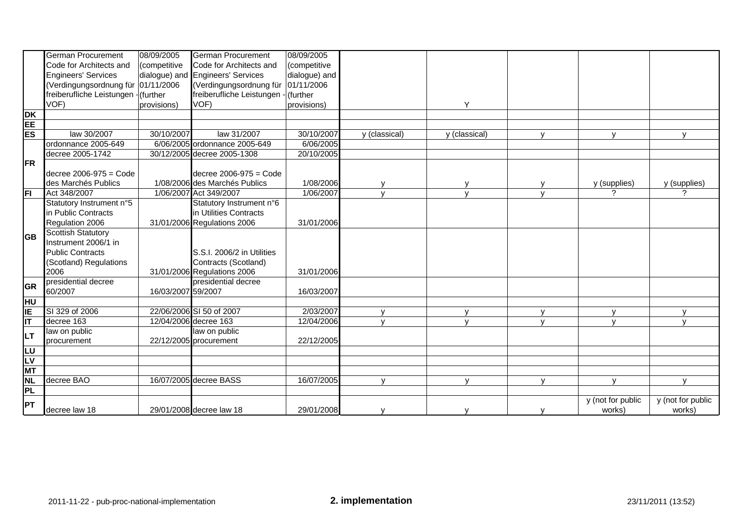|            | <b>German Procurement</b>            | 08/09/2005         | <b>German Procurement</b>         | 08/09/2005    |               |               |              |                             |                             |
|------------|--------------------------------------|--------------------|-----------------------------------|---------------|---------------|---------------|--------------|-----------------------------|-----------------------------|
|            | Code for Architects and              | (competitive       | Code for Architects and           | (competitive  |               |               |              |                             |                             |
|            | <b>Engineers' Services</b>           |                    | dialogue) and Engineers' Services | dialogue) and |               |               |              |                             |                             |
|            | (Verdingungsordnung für  01/11/2006  |                    | (Verdingungsordnung für           | 01/11/2006    |               |               |              |                             |                             |
|            | freiberufliche Leistungen - (further |                    | freiberufliche Leistungen -       | (further      |               |               |              |                             |                             |
|            | VOF)                                 | provisions)        | VOF)                              | provisions)   |               | Y             |              |                             |                             |
| <b>DK</b>  |                                      |                    |                                   |               |               |               |              |                             |                             |
| EE         |                                      |                    |                                   |               |               |               |              |                             |                             |
| <b>ES</b>  | law 30/2007                          | 30/10/2007         | law 31/2007                       | 30/10/2007    | y (classical) | y (classical) |              | $\mathbf{v}$                |                             |
|            | ordonnance 2005-649                  |                    | 6/06/2005 ordonnance 2005-649     | 6/06/2005     |               |               |              |                             |                             |
|            | decree 2005-1742                     |                    | 30/12/2005 decree 2005-1308       | 20/10/2005    |               |               |              |                             |                             |
| <b>IFR</b> |                                      |                    |                                   |               |               |               |              |                             |                             |
|            | decree $2006-975 = \text{Code}$      |                    | decree $2006-975 = \text{Code}$   |               |               |               |              |                             |                             |
|            | des Marchés Publics                  |                    | 1/08/2006 des Marchés Publics     | 1/08/2006     |               |               |              | y (supplies)                | y (supplies)                |
| <b>FT</b>  | Act 348/2007                         |                    | 1/06/2007 Act 349/2007            | 1/06/2007     | $\mathbf{v}$  | $\mathbf{v}$  | $\mathbf{v}$ | ?                           | 2                           |
|            | Statutory Instrument n°5             |                    | Statutory Instrument n°6          |               |               |               |              |                             |                             |
|            | in Public Contracts                  |                    | in Utilities Contracts            |               |               |               |              |                             |                             |
|            | Regulation 2006                      |                    | 31/01/2006 Regulations 2006       | 31/01/2006    |               |               |              |                             |                             |
| lGB        | <b>Scottish Statutory</b>            |                    |                                   |               |               |               |              |                             |                             |
|            | Instrument 2006/1 in                 |                    |                                   |               |               |               |              |                             |                             |
|            | <b>Public Contracts</b>              |                    | S.S.I. 2006/2 in Utilities        |               |               |               |              |                             |                             |
|            | (Scotland) Regulations               |                    | Contracts (Scotland)              |               |               |               |              |                             |                             |
|            | 2006                                 |                    | 31/01/2006 Regulations 2006       | 31/01/2006    |               |               |              |                             |                             |
| <b>GR</b>  | presidential decree                  |                    | presidential decree               |               |               |               |              |                             |                             |
|            | 60/2007                              | 16/03/2007 59/2007 |                                   | 16/03/2007    |               |               |              |                             |                             |
| lнu        |                                      |                    |                                   |               |               |               |              |                             |                             |
| IE         | SI 329 of 2006                       |                    | 22/06/2006 SI 50 of 2007          | 2/03/2007     | $\mathbf{v}$  | $\mathbf v$   | $\mathsf{V}$ | $\mathsf{v}$                |                             |
| İІТ        | decree 163                           |                    | 12/04/2006 decree 163             | 12/04/2006    | $\mathbf{V}$  | $\mathbf{V}$  | $\mathsf{V}$ | $\mathsf{V}$                | $\mathbf{v}$                |
| llt        | law on public                        |                    | law on public                     |               |               |               |              |                             |                             |
|            | procurement                          |                    | 22/12/2005 procurement            | 22/12/2005    |               |               |              |                             |                             |
| l∟∪        |                                      |                    |                                   |               |               |               |              |                             |                             |
| <b>LV</b>  |                                      |                    |                                   |               |               |               |              |                             |                             |
| <b>MT</b>  |                                      |                    |                                   |               |               |               |              |                             |                             |
| <b>NL</b>  | decree BAO                           |                    | 16/07/2005 decree BASS            | 16/07/2005    | $\mathbf{v}$  | $\mathbf{v}$  | $\mathsf{v}$ | $\mathsf{V}$                | $\mathbf{v}$                |
| PL         |                                      |                    |                                   |               |               |               |              |                             |                             |
| <b>IPT</b> | decree law 18                        |                    | 29/01/2008 decree law 18          | 29/01/2008    |               |               |              | y (not for public<br>works) | y (not for public<br>works) |
|            |                                      |                    |                                   |               |               |               |              |                             |                             |